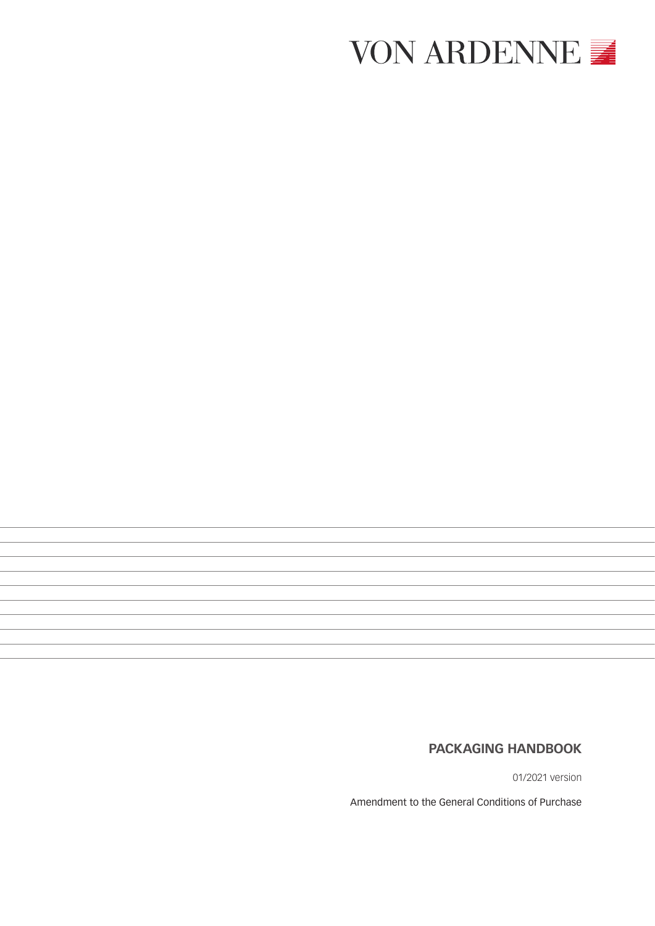

# **PACKAGING HANDBOOK**

01/2021 version

Amendment to the General Conditions of Purchase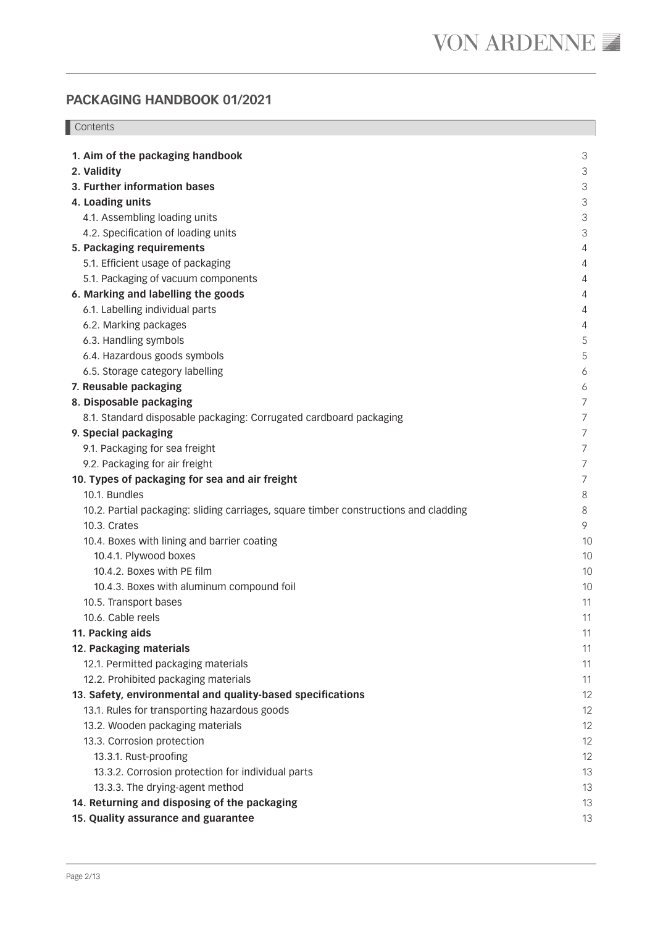**Contents** 

| 1. Aim of the packaging handbook                                                     | 3                         |
|--------------------------------------------------------------------------------------|---------------------------|
| 2. Validity                                                                          | 3                         |
| 3. Further information bases                                                         | $\ensuremath{\mathsf{3}}$ |
| 4. Loading units                                                                     | 3                         |
| 4.1. Assembling loading units                                                        | 3                         |
| 4.2. Specification of loading units                                                  | 3                         |
| 5. Packaging requirements                                                            | 4                         |
| 5.1. Efficient usage of packaging                                                    | 4                         |
| 5.1. Packaging of vacuum components                                                  | 4                         |
| 6. Marking and labelling the goods                                                   | 4                         |
| 6.1. Labelling individual parts                                                      | 4                         |
| 6.2. Marking packages                                                                | 4                         |
| 6.3. Handling symbols                                                                | 5                         |
| 6.4. Hazardous goods symbols                                                         | 5                         |
| 6.5. Storage category labelling                                                      | 6                         |
| 7. Reusable packaging                                                                | 6                         |
| 8. Disposable packaging                                                              | 7                         |
| 8.1. Standard disposable packaging: Corrugated cardboard packaging                   | 7                         |
| 9. Special packaging                                                                 | $\overline{7}$            |
| 9.1. Packaging for sea freight                                                       | $\overline{7}$            |
| 9.2. Packaging for air freight                                                       | $\overline{7}$            |
| 10. Types of packaging for sea and air freight                                       | $\overline{7}$            |
| 10.1. Bundles                                                                        | 8                         |
| 10.2. Partial packaging: sliding carriages, square timber constructions and cladding | 8                         |
| 10.3. Crates                                                                         | 9                         |
| 10.4. Boxes with lining and barrier coating                                          | 10                        |
| 10.4.1. Plywood boxes                                                                | 10                        |
| 10.4.2. Boxes with PE film                                                           | 10                        |
| 10.4.3. Boxes with aluminum compound foil                                            | 10                        |
| 10.5. Transport bases                                                                | 11                        |
| 10.6. Cable reels                                                                    | 11                        |
| 11. Packing aids                                                                     | 11                        |
| 12. Packaging materials                                                              | 11                        |
| 12.1. Permitted packaging materials                                                  | 11                        |
| 12.2. Prohibited packaging materials                                                 | 11                        |
| 13. Safety, environmental and quality-based specifications                           | 12                        |
| 13.1. Rules for transporting hazardous goods                                         | 12                        |
| 13.2. Wooden packaging materials                                                     | 12                        |
| 13.3. Corrosion protection                                                           | 12                        |
| 13.3.1. Rust-proofing                                                                | 12                        |
| 13.3.2. Corrosion protection for individual parts                                    | 13                        |
| 13.3.3. The drying-agent method                                                      | 13                        |
| 14. Returning and disposing of the packaging                                         | 13                        |
| 15. Quality assurance and guarantee                                                  | 13                        |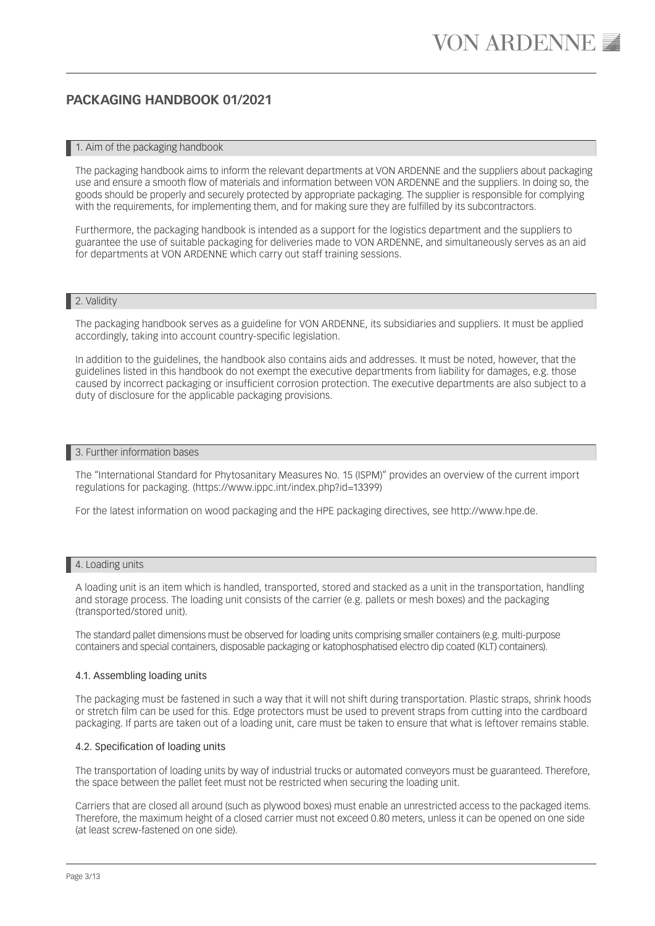#### 1. Aim of the packaging handbook

The packaging handbook aims to inform the relevant departments at VON ARDENNE and the suppliers about packaging use and ensure a smooth flow of materials and information between VON ARDENNE and the suppliers. In doing so, the goods should be properly and securely protected by appropriate packaging. The supplier is responsible for complying with the requirements, for implementing them, and for making sure they are fulfilled by its subcontractors.

Furthermore, the packaging handbook is intended as a support for the logistics department and the suppliers to guarantee the use of suitable packaging for deliveries made to VON ARDENNE, and simultaneously serves as an aid for departments at VON ARDENNE which carry out staff training sessions.

### 2. Validity

The packaging handbook serves as a guideline for VON ARDENNE, its subsidiaries and suppliers. It must be applied accordingly, taking into account country-specific legislation.

In addition to the guidelines, the handbook also contains aids and addresses. It must be noted, however, that the guidelines listed in this handbook do not exempt the executive departments from liability for damages, e.g. those caused by incorrect packaging or insufficient corrosion protection. The executive departments are also subject to a duty of disclosure for the applicable packaging provisions.

### 3. Further information bases

The "International Standard for Phytosanitary Measures No. 15 (ISPM)" provides an overview of the current import regulations for packaging. (https://www.ippc.int/index.php?id=13399)

For the latest information on wood packaging and the HPE packaging directives, see http://www.hpe.de.

### 4. Loading units

A loading unit is an item which is handled, transported, stored and stacked as a unit in the transportation, handling and storage process. The loading unit consists of the carrier (e.g. pallets or mesh boxes) and the packaging (transported/stored unit).

The standard pallet dimensions must be observed for loading units comprising smaller containers (e.g. multi-purpose containers and special containers, disposable packaging or katophosphatised electro dip coated (KLT) containers).

#### 4.1. Assembling loading units

The packaging must be fastened in such a way that it will not shift during transportation. Plastic straps, shrink hoods or stretch film can be used for this. Edge protectors must be used to prevent straps from cutting into the cardboard packaging. If parts are taken out of a loading unit, care must be taken to ensure that what is leftover remains stable.

#### 4.2. Specification of loading units

The transportation of loading units by way of industrial trucks or automated conveyors must be guaranteed. Therefore, the space between the pallet feet must not be restricted when securing the loading unit.

Carriers that are closed all around (such as plywood boxes) must enable an unrestricted access to the packaged items. Therefore, the maximum height of a closed carrier must not exceed 0.80 meters, unless it can be opened on one side (at least screw-fastened on one side).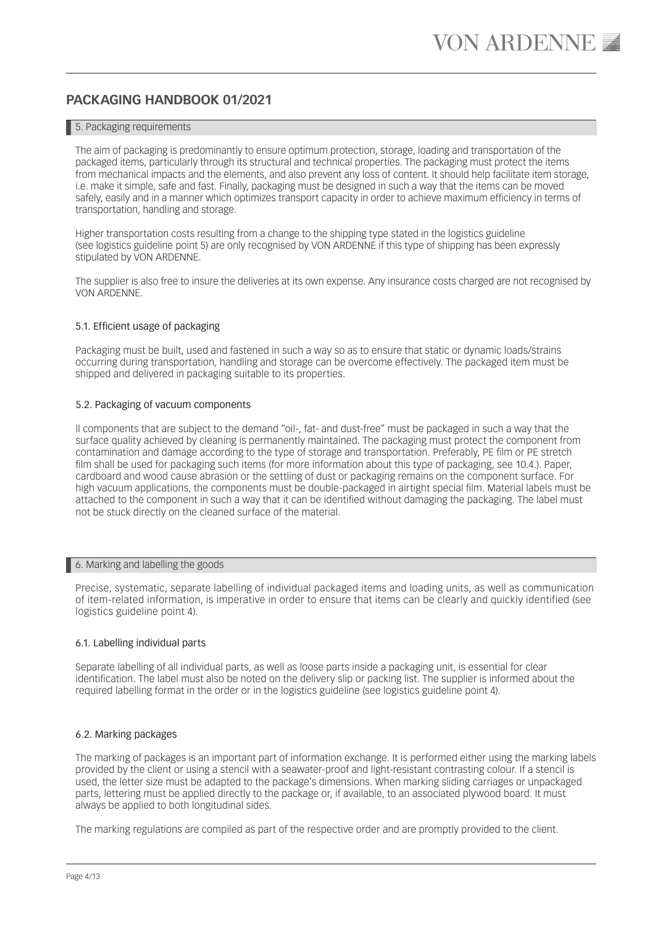# 5. Packaging requirements

The aim of packaging is predominantly to ensure optimum protection, storage, loading and transportation of the packaged items, particularly through its structural and technical properties. The packaging must protect the items from mechanical impacts and the elements, and also prevent any loss of content. It should help facilitate item storage, i.e. make it simple, safe and fast. Finally, packaging must be designed in such a way that the items can be moved safely, easily and in a manner which optimizes transport capacity in order to achieve maximum efficiency in terms of transportation, handling and storage.

Higher transportation costs resulting from a change to the shipping type stated in the logistics guideline (see logistics guideline point 5) are only recognised by VON ARDENNE if this type of shipping has been expressly stipulated by VON ARDENNE.

The supplier is also free to insure the deliveries at its own expense. Any insurance costs charged are not recognised by VON ARDENNE.

### 5.1. Efficient usage of packaging

Packaging must be built, used and fastened in such a way so as to ensure that static or dynamic loads/strains occurring during transportation, handling and storage can be overcome effectively. The packaged item must be shipped and delivered in packaging suitable to its properties.

### 5.2. Packaging of vacuum components

ll components that are subject to the demand "oil-, fat- and dust-free" must be packaged in such a way that the surface quality achieved by cleaning is permanently maintained. The packaging must protect the component from contamination and damage according to the type of storage and transportation. Preferably, PE film or PE stretch film shall be used for packaging such items (for more information about this type of packaging, see 10.4.). Paper, cardboard and wood cause abrasion or the settling of dust or packaging remains on the component surface. For high vacuum applications, the components must be double-packaged in airtight special film. Material labels must be attached to the component in such a way that it can be identified without damaging the packaging. The label must not be stuck directly on the cleaned surface of the material.

#### 6. Marking and labelling the goods

Precise, systematic, separate labelling of individual packaged items and loading units, as well as communication of item-related information, is imperative in order to ensure that items can be clearly and quickly identified (see logistics guideline point 4).

# 6.1. Labelling individual parts

Separate labelling of all individual parts, as well as loose parts inside a packaging unit, is essential for clear identification. The label must also be noted on the delivery slip or packing list. The supplier is informed about the required labelling format in the order or in the logistics guideline (see logistics guideline point 4).

### 6.2. Marking packages

The marking of packages is an important part of information exchange. It is performed either using the marking labels provided by the client or using a stencil with a seawater-proof and light-resistant contrasting colour. If a stencil is used, the letter size must be adapted to the package's dimensions. When marking sliding carriages or unpackaged parts, lettering must be applied directly to the package or, if available, to an associated plywood board. It must always be applied to both longitudinal sides.

The marking regulations are compiled as part of the respective order and are promptly provided to the client.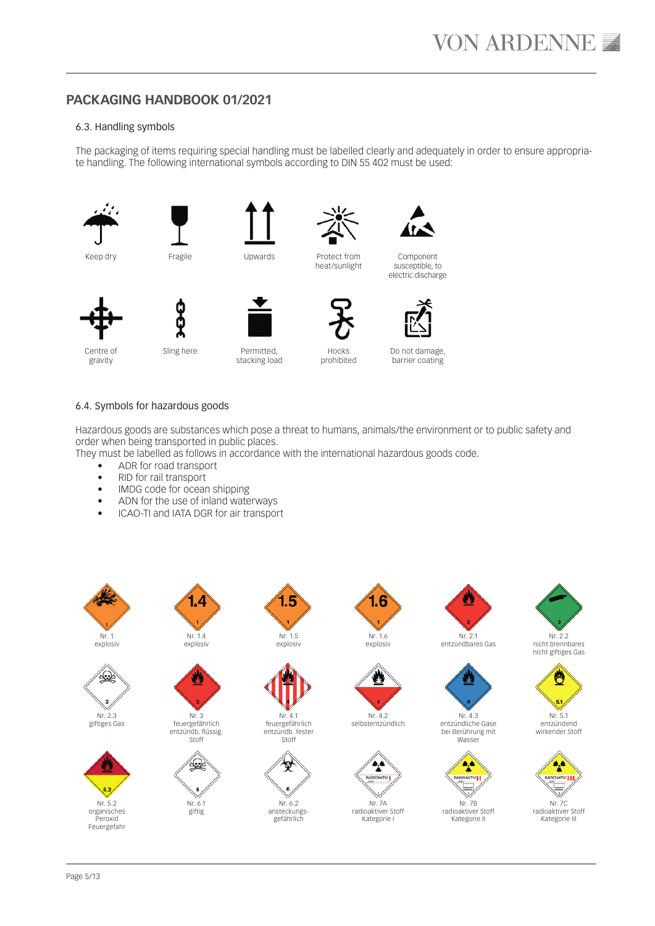### 6.3. Handling symbols

The packaging of items requiring special handling must be labelled clearly and adequately in order to ensure appropriate handling. The following international symbols according to DIN 55 402 must be used:



Keep dry



Upwards



Component susceptible, to electric discharge



Centre of gravity

Sling here



stacking load



Hooks prohibited

Protect from heat/sunlight

Do not damage,

barrier coating

# 6.4. Symbols for hazardous goods

Hazardous goods are substances which pose a threat to humans, animals/the environment or to public safety and order when being transported in public places.

They must be labelled as follows in accordance with the international hazardous goods code.

- ADR for road transport
- RID for rail transport
- IMDG code for ocean shipping
- ADN for the use of inland waterways
- ICAO-TI and IATA DGR for air transport



4£

Nr. 2.3 giftiges Gas





Nr. 3 feuergefährlich entzündb. flüssig. Stoff

> Nr. 6.1 giftig

ں



Nr. 4.1 feuergefährlich entzündb. fester Stoff



ansteckungsgefährlich





nave

radioaktiver Stoff Kategorie I



Nr. 2.1 entzündbares Gas





radioaktiver Stoff Kategorie II



nicht brennbares nicht giftiges Gas



entzündend wirkender Stoff



Kategorie III

Page 5/13

1.6

Nr. 4.2



Nr. 7A





Nr. 4.3



Wasser





Nr. 7B

entzündliche Gase bei Berührung mit











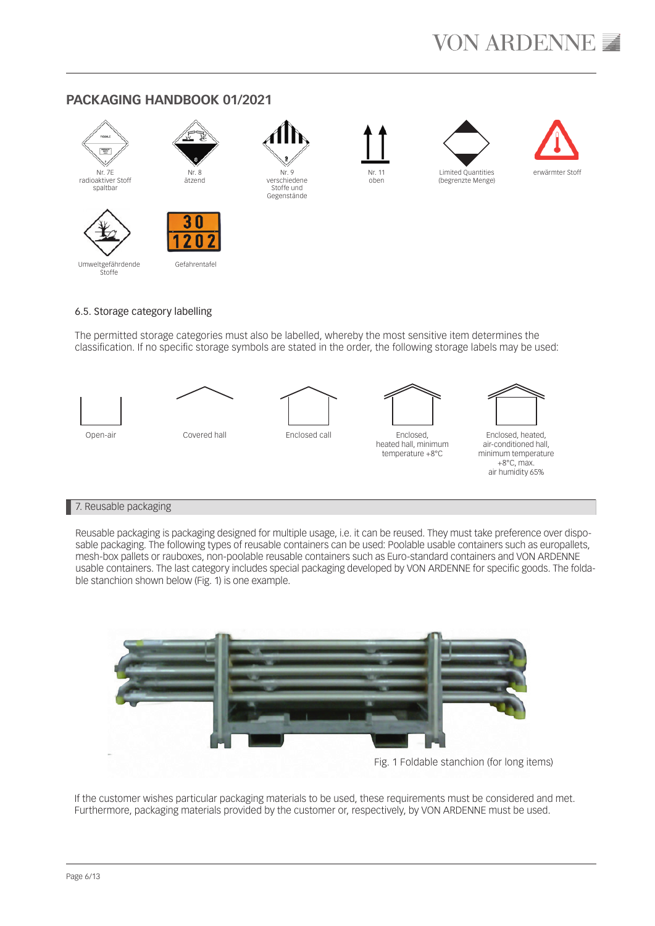

#### Umweltgefährdende **Stoffe**

# 6.5. Storage category labelling

The permitted storage categories must also be labelled, whereby the most sensitive item determines the classification. If no specific storage symbols are stated in the order, the following storage labels may be used:



# 7. Reusable packaging

Reusable packaging is packaging designed for multiple usage, i.e. it can be reused. They must take preference over disposable packaging. The following types of reusable containers can be used: Poolable usable containers such as europallets, mesh-box pallets or rauboxes, non-poolable reusable containers such as Euro-standard containers and VON ARDENNE usable containers. The last category includes special packaging developed by VON ARDENNE for specific goods. The foldable stanchion shown below (Fig. 1) is one example.



If the customer wishes particular packaging materials to be used, these requirements must be considered and met. Furthermore, packaging materials provided by the customer or, respectively, by VON ARDENNE must be used.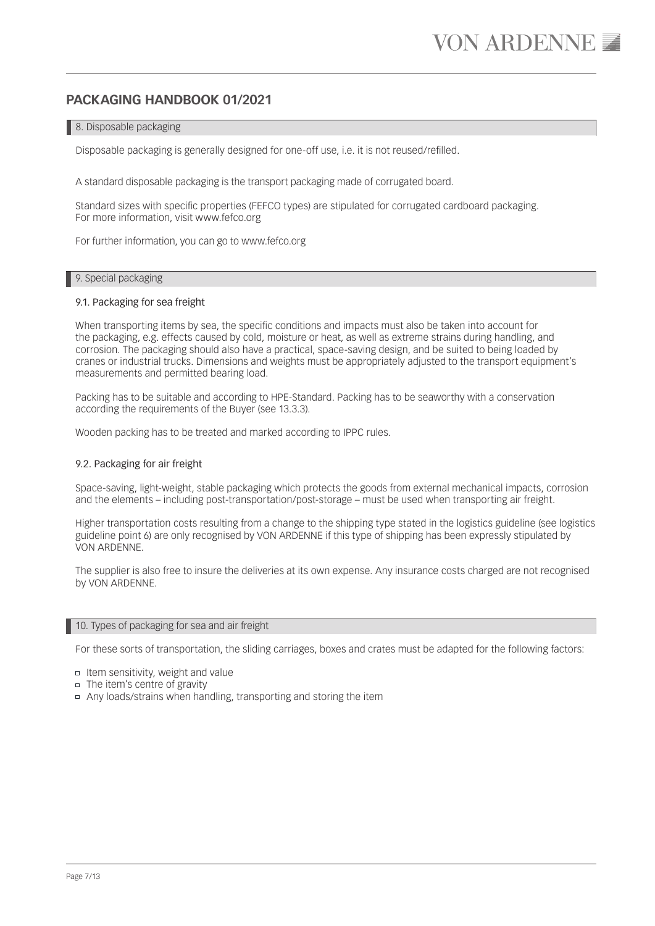# 8. Disposable packaging

Disposable packaging is generally designed for one-off use, i.e. it is not reused/refilled.

A standard disposable packaging is the transport packaging made of corrugated board.

Standard sizes with specific properties (FEFCO types) are stipulated for corrugated cardboard packaging. For more information, visit www.fefco.org

For further information, you can go to www.fefco.org

### 9. Special packaging

### 9.1. Packaging for sea freight

When transporting items by sea, the specific conditions and impacts must also be taken into account for the packaging, e.g. effects caused by cold, moisture or heat, as well as extreme strains during handling, and corrosion. The packaging should also have a practical, space-saving design, and be suited to being loaded by cranes or industrial trucks. Dimensions and weights must be appropriately adjusted to the transport equipment's measurements and permitted bearing load.

Packing has to be suitable and according to HPE-Standard. Packing has to be seaworthy with a conservation according the requirements of the Buyer (see 13.3.3).

Wooden packing has to be treated and marked according to IPPC rules.

### 9.2. Packaging for air freight

Space-saving, light-weight, stable packaging which protects the goods from external mechanical impacts, corrosion and the elements – including post-transportation/post-storage – must be used when transporting air freight.

Higher transportation costs resulting from a change to the shipping type stated in the logistics guideline (see logistics guideline point 6) are only recognised by VON ARDENNE if this type of shipping has been expressly stipulated by VON ARDENNE.

The supplier is also free to insure the deliveries at its own expense. Any insurance costs charged are not recognised by VON ARDENNE.

#### 10. Types of packaging for sea and air freight

For these sorts of transportation, the sliding carriages, boxes and crates must be adapted for the following factors:

- Item sensitivity, weight and value
- The item's centre of gravity
- Any loads/strains when handling, transporting and storing the item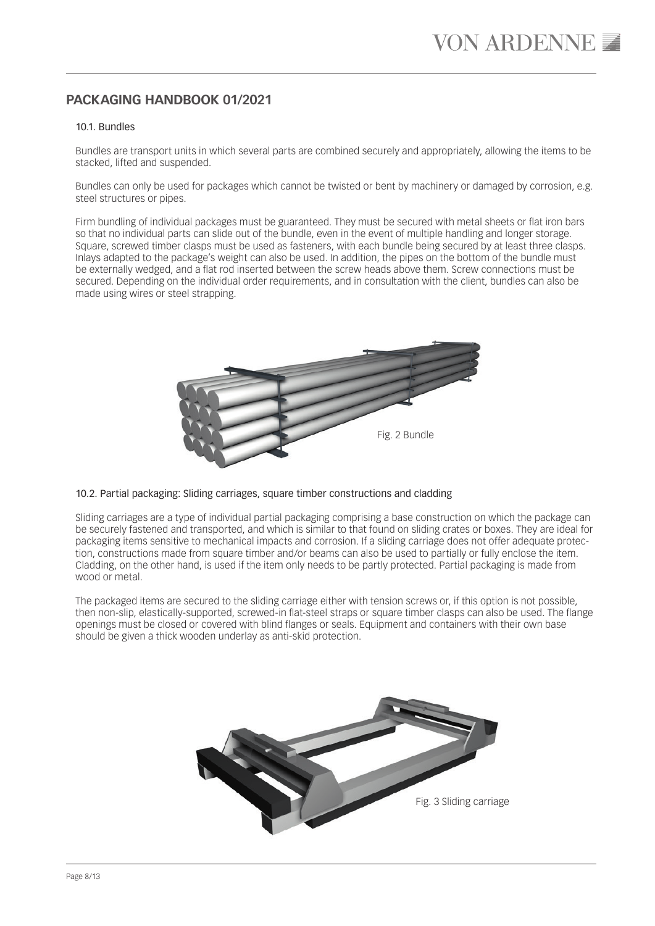### 10.1. Bundles

Bundles are transport units in which several parts are combined securely and appropriately, allowing the items to be stacked, lifted and suspended.

Bundles can only be used for packages which cannot be twisted or bent by machinery or damaged by corrosion, e.g. steel structures or pipes.

Firm bundling of individual packages must be guaranteed. They must be secured with metal sheets or flat iron bars so that no individual parts can slide out of the bundle, even in the event of multiple handling and longer storage. Square, screwed timber clasps must be used as fasteners, with each bundle being secured by at least three clasps. Inlays adapted to the package's weight can also be used. In addition, the pipes on the bottom of the bundle must be externally wedged, and a flat rod inserted between the screw heads above them. Screw connections must be secured. Depending on the individual order requirements, and in consultation with the client, bundles can also be made using wires or steel strapping.



### 10.2. Partial packaging: Sliding carriages, square timber constructions and cladding

Sliding carriages are a type of individual partial packaging comprising a base construction on which the package can be securely fastened and transported, and which is similar to that found on sliding crates or boxes. They are ideal for packaging items sensitive to mechanical impacts and corrosion. If a sliding carriage does not offer adequate protection, constructions made from square timber and/or beams can also be used to partially or fully enclose the item. Cladding, on the other hand, is used if the item only needs to be partly protected. Partial packaging is made from wood or metal.

The packaged items are secured to the sliding carriage either with tension screws or, if this option is not possible, then non-slip, elastically-supported, screwed-in flat-steel straps or square timber clasps can also be used. The flange openings must be closed or covered with blind flanges or seals. Equipment and containers with their own base should be given a thick wooden underlay as anti-skid protection.

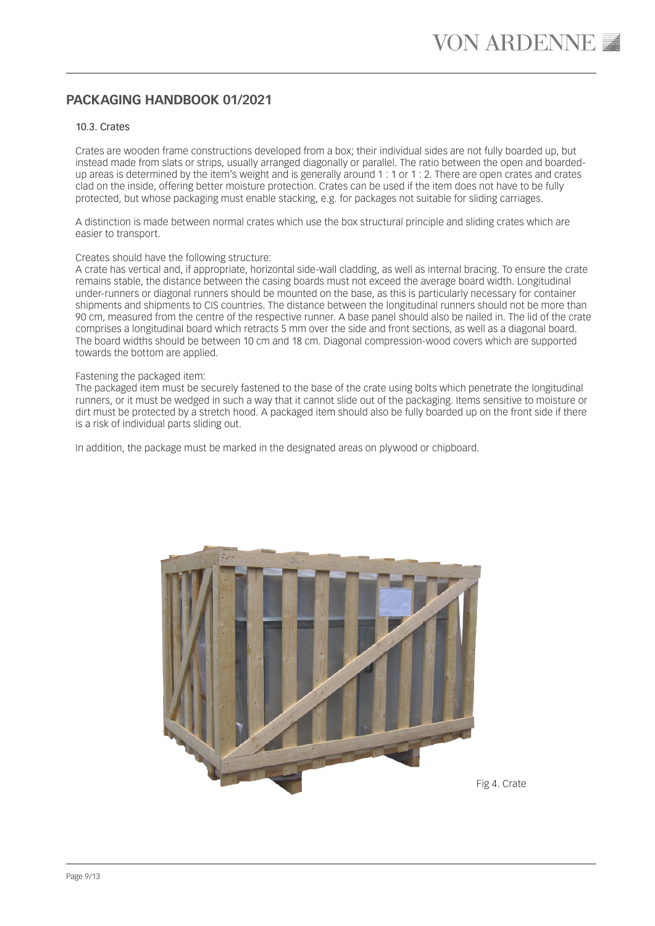### 10.3. Crates

Crates are wooden frame constructions developed from a box; their individual sides are not fully boarded up, but instead made from slats or strips, usually arranged diagonally or parallel. The ratio between the open and boardedup areas is determined by the item's weight and is generally around 1 : 1 or 1 : 2. There are open crates and crates clad on the inside, offering better moisture protection. Crates can be used if the item does not have to be fully protected, but whose packaging must enable stacking, e.g. for packages not suitable for sliding carriages.

A distinction is made between normal crates which use the box structural principle and sliding crates which are easier to transport.

### Creates should have the following structure:

A crate has vertical and, if appropriate, horizontal side-wall cladding, as well as internal bracing. To ensure the crate remains stable, the distance between the casing boards must not exceed the average board width. Longitudinal under-runners or diagonal runners should be mounted on the base, as this is particularly necessary for container shipments and shipments to CIS countries. The distance between the longitudinal runners should not be more than 90 cm, measured from the centre of the respective runner. A base panel should also be nailed in. The lid of the crate comprises a longitudinal board which retracts 5 mm over the side and front sections, as well as a diagonal board. The board widths should be between 10 cm and 18 cm. Diagonal compression-wood covers which are supported towards the bottom are applied.

#### Fastening the packaged item:

The packaged item must be securely fastened to the base of the crate using bolts which penetrate the longitudinal runners, or it must be wedged in such a way that it cannot slide out of the packaging. Items sensitive to moisture or dirt must be protected by a stretch hood. A packaged item should also be fully boarded up on the front side if there is a risk of individual parts sliding out.

In addition, the package must be marked in the designated areas on plywood or chipboard.



Fig 4. Crate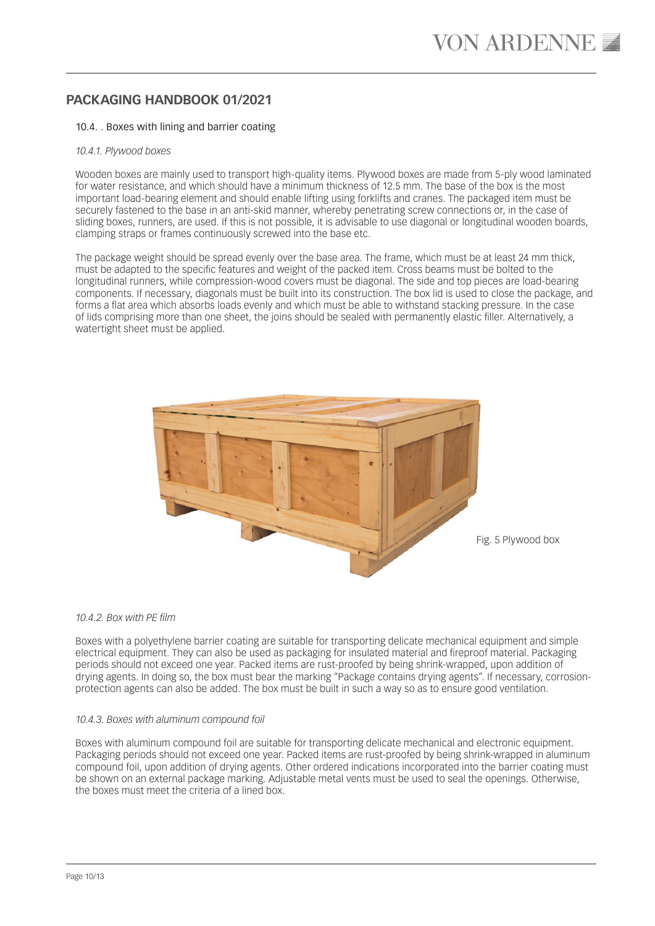### 10.4. . Boxes with lining and barrier coating

#### *10.4.1. Plywood boxes*

Wooden boxes are mainly used to transport high-quality items. Plywood boxes are made from 5-ply wood laminated for water resistance, and which should have a minimum thickness of 12.5 mm. The base of the box is the most important load-bearing element and should enable lifting using forklifts and cranes. The packaged item must be securely fastened to the base in an anti-skid manner, whereby penetrating screw connections or, in the case of sliding boxes, runners, are used. If this is not possible, it is advisable to use diagonal or longitudinal wooden boards, clamping straps or frames continuously screwed into the base etc.

The package weight should be spread evenly over the base area. The frame, which must be at least 24 mm thick, must be adapted to the specific features and weight of the packed item. Cross beams must be bolted to the longitudinal runners, while compression-wood covers must be diagonal. The side and top pieces are load-bearing components. If necessary, diagonals must be built into its construction. The box lid is used to close the package, and forms a flat area which absorbs loads evenly and which must be able to withstand stacking pressure. In the case of lids comprising more than one sheet, the joins should be sealed with permanently elastic filler. Alternatively, a watertight sheet must be applied.



#### *10.4.2. Box with PE film*

Boxes with a polyethylene barrier coating are suitable for transporting delicate mechanical equipment and simple electrical equipment. They can also be used as packaging for insulated material and fireproof material. Packaging periods should not exceed one year. Packed items are rust-proofed by being shrink-wrapped, upon addition of drying agents. In doing so, the box must bear the marking "Package contains drying agents". If necessary, corrosionprotection agents can also be added. The box must be built in such a way so as to ensure good ventilation.

### *10.4.3. Boxes with aluminum compound foil*

Boxes with aluminum compound foil are suitable for transporting delicate mechanical and electronic equipment. Packaging periods should not exceed one year. Packed items are rust-proofed by being shrink-wrapped in aluminum compound foil, upon addition of drying agents. Other ordered indications incorporated into the barrier coating must be shown on an external package marking. Adjustable metal vents must be used to seal the openings. Otherwise, the boxes must meet the criteria of a lined box.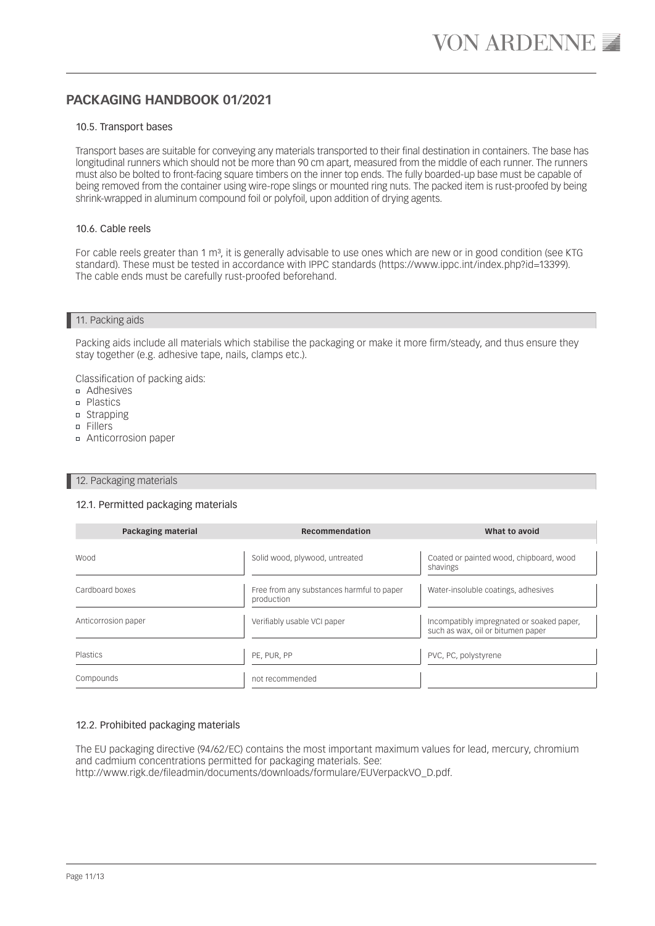### 10.5. Transport bases

Transport bases are suitable for conveying any materials transported to their final destination in containers. The base has longitudinal runners which should not be more than 90 cm apart, measured from the middle of each runner. The runners must also be bolted to front-facing square timbers on the inner top ends. The fully boarded-up base must be capable of being removed from the container using wire-rope slings or mounted ring nuts. The packed item is rust-proofed by being shrink-wrapped in aluminum compound foil or polyfoil, upon addition of drying agents.

### 10.6. Cable reels

For cable reels greater than 1 m<sup>3</sup>, it is generally advisable to use ones which are new or in good condition (see KTG standard). These must be tested in accordance with IPPC standards (https://www.ippc.int/index.php?id=13399). The cable ends must be carefully rust-proofed beforehand.

### 11. Packing aids

Packing aids include all materials which stabilise the packaging or make it more firm/steady, and thus ensure they stay together (e.g. adhesive tape, nails, clamps etc.).

Classification of packing aids:

- Adhesives
- **n** Plastics
- n Strapping
- Fillers
- Anticorrosion paper

#### 12. Packaging materials

### 12.1. Permitted packaging materials

| Packaging material  | Recommendation                                          | What to avoid                                                                  |
|---------------------|---------------------------------------------------------|--------------------------------------------------------------------------------|
|                     |                                                         |                                                                                |
| <b>Wood</b>         | Solid wood, plywood, untreated                          | Coated or painted wood, chipboard, wood<br>shavings                            |
| Cardboard boxes     | Free from any substances harmful to paper<br>production | Water-insoluble coatings, adhesives                                            |
| Anticorrosion paper | Verifiably usable VCI paper                             | Incompatibly impregnated or soaked paper,<br>such as wax, oil or bitumen paper |
| Plastics            | PE, PUR, PP                                             | PVC, PC, polystyrene                                                           |
| Compounds           | not recommended                                         |                                                                                |

### 12.2. Prohibited packaging materials

The EU packaging directive (94/62/EC) contains the most important maximum values for lead, mercury, chromium and cadmium concentrations permitted for packaging materials. See: http://www.rigk.de/fileadmin/documents/downloads/formulare/EUVerpackVO\_D.pdf.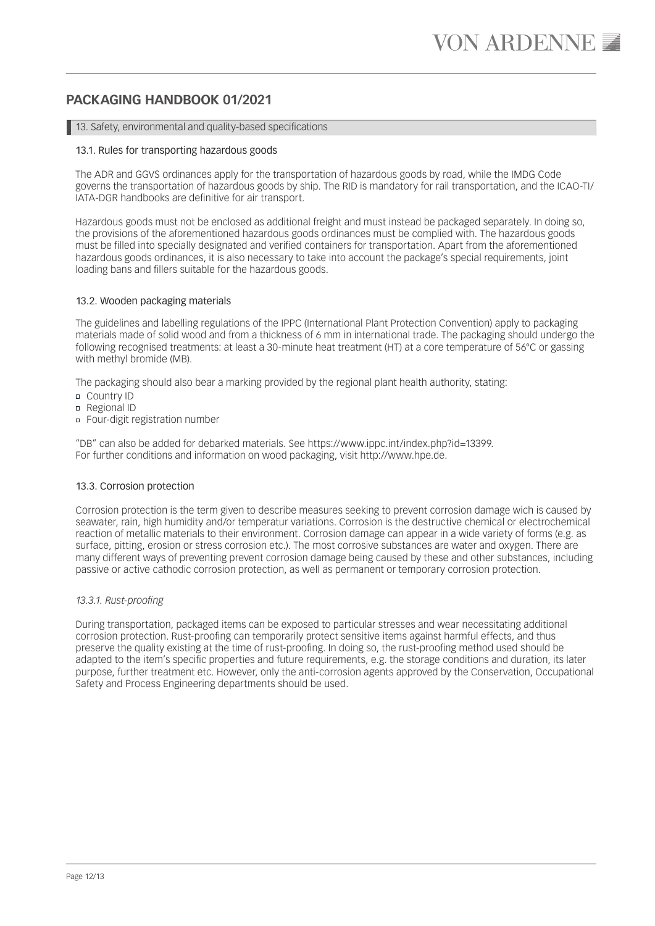### 13. Safety, environmental and quality-based specifications

### 13.1. Rules for transporting hazardous goods

The ADR and GGVS ordinances apply for the transportation of hazardous goods by road, while the IMDG Code governs the transportation of hazardous goods by ship. The RID is mandatory for rail transportation, and the ICAO-TI/ IATA-DGR handbooks are definitive for air transport.

Hazardous goods must not be enclosed as additional freight and must instead be packaged separately. In doing so, the provisions of the aforementioned hazardous goods ordinances must be complied with. The hazardous goods must be filled into specially designated and verified containers for transportation. Apart from the aforementioned hazardous goods ordinances, it is also necessary to take into account the package's special requirements, joint loading bans and fillers suitable for the hazardous goods.

### 13.2. Wooden packaging materials

The guidelines and labelling regulations of the IPPC (International Plant Protection Convention) apply to packaging materials made of solid wood and from a thickness of 6 mm in international trade. The packaging should undergo the following recognised treatments: at least a 30-minute heat treatment (HT) at a core temperature of 56°C or gassing with methyl bromide (MB).

The packaging should also bear a marking provided by the regional plant health authority, stating:

- Country ID
- □ Regional ID
- Four-digit registration number

"DB" can also be added for debarked materials. See https://www.ippc.int/index.php?id=13399. For further conditions and information on wood packaging, visit http://www.hpe.de.

### 13.3. Corrosion protection

Corrosion protection is the term given to describe measures seeking to prevent corrosion damage wich is caused by seawater, rain, high humidity and/or temperatur variations. Corrosion is the destructive chemical or electrochemical reaction of metallic materials to their environment. Corrosion damage can appear in a wide variety of forms (e.g. as surface, pitting, erosion or stress corrosion etc.). The most corrosive substances are water and oxygen. There are many different ways of preventing prevent corrosion damage being caused by these and other substances, including passive or active cathodic corrosion protection, as well as permanent or temporary corrosion protection.

### *13.3.1. Rust-proofing*

During transportation, packaged items can be exposed to particular stresses and wear necessitating additional corrosion protection. Rust-proofing can temporarily protect sensitive items against harmful effects, and thus preserve the quality existing at the time of rust-proofing. In doing so, the rust-proofing method used should be adapted to the item's specific properties and future requirements, e.g. the storage conditions and duration, its later purpose, further treatment etc. However, only the anti-corrosion agents approved by the Conservation, Occupational Safety and Process Engineering departments should be used.